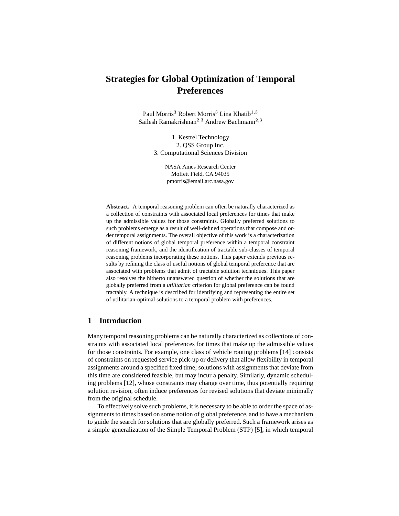# **Strategies for Global Optimization of Temporal Preferences**

Paul Morris<sup>3</sup> Robert Morris<sup>3</sup> Lina Khatib<sup>1,3</sup> Sailesh Ramakrishnan<sup>2,3</sup> Andrew Bachmann<sup>2,3</sup>

> 1. Kestrel Technology 2. QSS Group Inc. 3. Computational Sciences Division

> > NASA Ames Research Center Moffett Field, CA 94035 pmorris@email.arc.nasa.gov

**Abstract.** A temporal reasoning problem can often be naturally characterized as a collection of constraints with associated local preferences for times that make up the admissible values for those constraints. Globally preferred solutions to such problems emerge as a result of well-defined operations that compose and order temporal assignments. The overall objective of this work is a characterization of different notions of global temporal preference within a temporal constraint reasoning framework, and the identification of tractable sub-classes of temporal reasoning problems incorporating these notions. This paper extends previous results by refining the class of useful notions of global temporal preference that are associated with problems that admit of tractable solution techniques. This paper also resolves the hitherto unanswered question of whether the solutions that are globally preferred from a *utilitarian* criterion for global preference can be found tractably. A technique is described for identifying and representing the entire set of utilitarian-optimal solutions to a temporal problem with preferences.

# **1 Introduction**

Many temporal reasoning problems can be naturally characterized as collections of constraints with associated local preferences for times that make up the admissible values for those constraints. For example, one class of vehicle routing problems [14] consists of constraints on requested service pick-up or delivery that allow flexibility in temporal assignments around a specified fixed time; solutions with assignments that deviate from this time are considered feasible, but may incur a penalty. Similarly, dynamic scheduling problems [12], whose constraints may change over time, thus potentially requiring solution revision, often induce preferences for revised solutions that deviate minimally from the original schedule.

To effectively solve such problems, it is necessary to be able to order the space of assignments to times based on some notion of global preference, and to have a mechanism to guide the search for solutions that are globally preferred. Such a framework arises as a simple generalization of the Simple Temporal Problem (STP) [5], in which temporal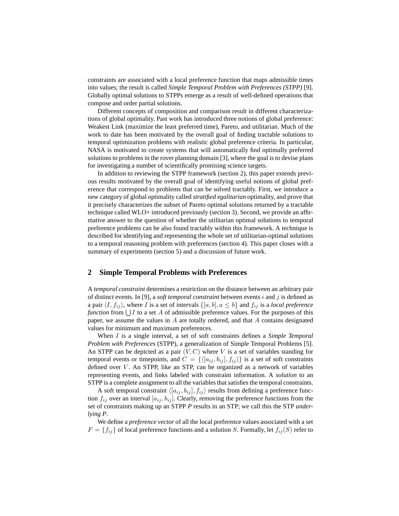constraints are associated with a local preference function that maps admissible times into values; the result is called *Simple Temporal Problem with Preferences (STPP)* [9]. Globally optimal solutions to STPPs emerge as a result of well-defined operations that compose and order partial solutions.

Different concepts of composition and comparison result in different characterizations of global optimality. Past work has introduced three notions of global preference: Weakest Link (maximize the least preferred time), Pareto, and utilitarian. Much of the work to date has been motivated by the overall goal of finding tractable solutions to temporal optimization problems with realistic global preference criteria. In particular, NASA is motivated to create systems that will automatically find optimally preferred solutions to problems in the rover planning domain [3], where the goal is to devise plans for investigating a number of scientifically promising science targets.

In addition to reviewing the STPP framework (section 2), this paper extends previous results motivated by the overall goal of identifying useful notions of global preference that correspond to problems that can be solved tractably. First, we introduce a new category of global optimality called *stratified egalitarian* optimality, and prove that it precisely characterizes the subset of Pareto optimal solutions returned by a tractable technique called WLO+ introduced previously (section 3). Second, we provide an affirmative answer to the question of whether the utilitarian optimal solutions to temporal preference problems can be also found tractably within this framework. A technique is described for identifying and representing the whole set of utilitarian-optimal solutions to a temporal reasoning problem with preferences (section 4). This paper closes with a summary of experiments (section 5) and a discussion of future work.

## **2 Simple Temporal Problems with Preferences**

A *temporal constraint* determines a restriction on the distance between an arbitrary pair of distinct events. In [9], a *soft temporal constraint* between events i and j is defined as a pair  $\langle I, f_{ij} \rangle$ , where I is a set of intervals  $\{[a, b], a \leq b\}$  and  $f_{ij}$  is a *local preference function* from  $\bigcup I$  to a set A of admissible preference values. For the purposes of this paper, we assume the values in A are totally ordered, and that A contains designated values for minimum and maximum preferences.

When I is a single interval, a set of soft constraints defines a *Simple Temporal Problem with Preferences* (STPP), a generalization of Simple Temporal Problems [5]. An STPP can be depicted as a pair  $(V, C)$  where V is a set of variables standing for temporal events or timepoints, and  $C = \{ \langle [a_{ij} , b_{ij} ], f_{ij} \rangle \}$  is a set of soft constraints defined over  $V$ . An STPP, like an STP, can be organized as a network of variables representing events, and links labeled with constraint information. A *solution* to an STPP is a complete assignment to all the variables that satisfies the temporal constraints.

A soft temporal constraint  $\langle [a_{ij} , b_{ij} ], f_{ij} \rangle$  results from defining a preference function  $f_{ij}$  over an interval  $[a_{ij}, b_{ij}]$ . Clearly, removing the preference functions from the set of constraints making up an STPP *P* results in an STP; we call this the STP *underlying P*.

We define a *preference vector* of all the local preference values associated with a set  $F = \{f_{ij}\}\$  of local preference functions and a solution S. Formally, let  $f_{ij}(S)$  refer to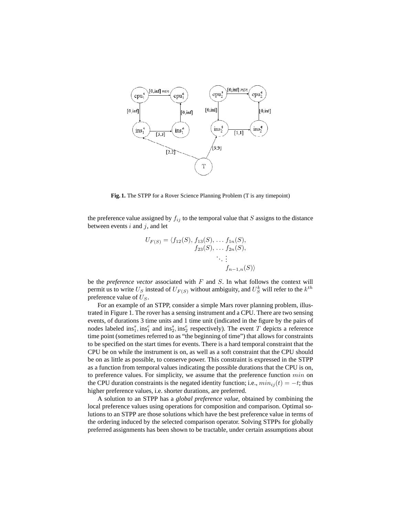

**Fig. 1.** The STPP for a Rover Science Planning Problem (T is any timepoint)

the preference value assigned by  $f_{ij}$  to the temporal value that S assigns to the distance between events  $i$  and  $j$ , and let

$$
U_{F(S)} = \langle f_{12}(S), f_{13}(S), \dots, f_{1n}(S), f_{23}(S), \dots, f_{2n}(S), \dots, f_{n-1,n}(S) \rangle
$$

be the *preference vector* associated with F and S. In what follows the context will permit us to write  $U_S$  instead of  $U_{F(S)}$  without ambiguity, and  $U_S^k$  will refer to the  $k^{th}$ preference value of  $U<sub>S</sub>$ .

For an example of an STPP, consider a simple Mars rover planning problem, illustrated in Figure 1. The rover has a sensing instrument and a CPU. There are two sensing events, of durations 3 time units and 1 time unit (indicated in the figure by the pairs of nodes labeled  $ins_1^s$ ,  $ins_1^e$  and  $ins_2^s$ ,  $ins_2^e$  respectively). The event T depicts a reference time point (sometimes referred to as "the beginning of time") that allows for constraints to be specified on the start times for events. There is a hard temporal constraint that the CPU be on while the instrument is on, as well as a soft constraint that the CPU should be on as little as possible, to conserve power. This constraint is expressed in the STPP as a function from temporal values indicating the possible durations that the CPU is on, to preference values. For simplicity, we assume that the preference function  $min$  on the CPU duration constraints is the negated identity function; i.e.,  $min_{ij}(t) = -t$ ; thus higher preference values, i.e. shorter durations, are preferred.

A solution to an STPP has a *global preference value*, obtained by combining the local preference values using operations for composition and comparison. Optimal solutions to an STPP are those solutions which have the best preference value in terms of the ordering induced by the selected comparison operator. Solving STPPs for globally preferred assignments has been shown to be tractable, under certain assumptions about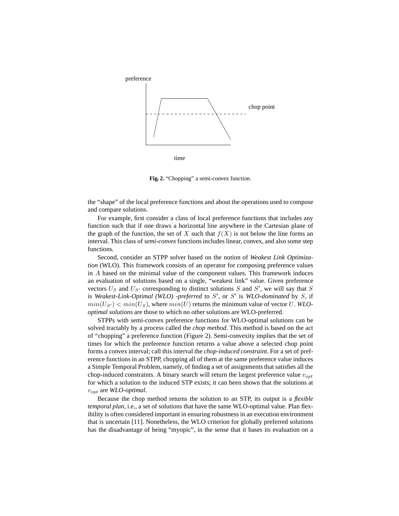

**Fig. 2.** "Chopping" a semi-convex function.

the "shape" of the local preference functions and about the operations used to compose and compare solutions.

For example, first consider a class of local preference functions that includes any function such that if one draws a horizontal line anywhere in the Cartesian plane of the graph of the function, the set of X such that  $f(X)$  is not below the line forms an interval. This class of *semi-convex* functions includes linear, convex, and also some step functions.

Second, consider an STPP solver based on the notion of *Weakest Link Optimization* (WLO). This framework consists of an operator for composing preference values in A based on the minimal value of the component values. This framework induces an evaluation of solutions based on a single, "weakest link" value. Given preference vectors  $U_S$  and  $U_{S'}$  corresponding to distinct solutions S and S', we will say that S is *Weakest-Link-Optimal* (WLO) -preferred to S', or S' is WLO-dominated by S, if  $min(U_{S'})$  <  $min(U_S)$ , where  $min(U)$  returns the minimum value of vector U. WLO*optimal solutions* are those to which no other solutions are WLO-preferred.

STPPs with semi-convex preference functions for WLO-optimal solutions can be solved tractably by a process called the *chop method*. This method is based on the act of "chopping" a preference function (Figure 2). Semi-convexity implies that the set of times for which the preference function returns a value above a selected chop point forms a convex interval; call this interval the *chop-induced constraint*. For a set of preference functions in an STPP, chopping all of them at the same preference value induces a Simple Temporal Problem, namely, of finding a set of assignments that satisfies all the chop-induced constraints. A binary search will return the largest preference value  $v_{\text{out}}$ for which a solution to the induced STP exists; it can been shown that the solutions at vopt are *WLO-optimal*.

Because the chop method returns the solution to an STP, its output is a *flexible temporal plan*, i.e., a set of solutions that have the same WLO-optimal value. Plan flexibility is often considered important in ensuring robustness in an execution environment that is uncertain [11]. Nonetheless, the WLO criterion for globally preferred solutions has the disadvantage of being "myopic", in the sense that it bases its evaluation on a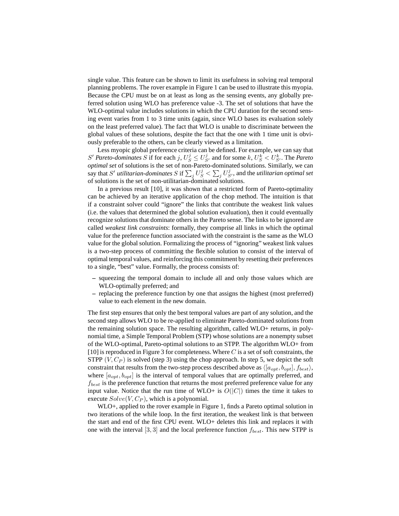single value. This feature can be shown to limit its usefulness in solving real temporal planning problems. The rover example in Figure 1 can be used to illustrate this myopia. Because the CPU must be on at least as long as the sensing events, any globally preferred solution using WLO has preference value -3. The set of solutions that have the WLO-optimal value includes solutions in which the CPU duration for the second sensing event varies from 1 to 3 time units (again, since WLO bases its evaluation solely on the least preferred value). The fact that WLO is unable to discriminate between the global values of these solutions, despite the fact that the one with 1 time unit is obviously preferable to the others, can be clearly viewed as a limitation.

Less myopic global preference criteria can be defined. For example, we can say that S' Pareto-dominates S if for each j,  $U_S^j \leq U_{S'}^j$  and for some  $k, U_S^k < U_{S'}^k$ . The *Pareto optimal set* of solutions is the set of non-Pareto-dominated solutions. Similarly, we can say that S' *utilitarian-dominates* S if  $\sum_j U_S^j < \sum_j U_{S'}^j$ , and the *utilitarian optimal set* of solutions is the set of non-utilitarian-dominated solutions.

In a previous result [10], it was shown that a restricted form of Pareto-optimality can be achieved by an iterative application of the chop method. The intuition is that if a constraint solver could "ignore" the links that contribute the weakest link values (i.e. the values that determined the global solution evaluation), then it could eventually recognize solutions that dominate others in the Pareto sense. The links to be ignored are called *weakest link constraints*: formally, they comprise all links in which the optimal value for the preference function associated with the constraint is the same as the WLO value for the global solution. Formalizing the process of "ignoring" weakest link values is a two-step process of committing the flexible solution to consist of the interval of optimal temporal values, and reinforcing this commitment by resetting their preferences to a single, "best" value. Formally, the process consists of:

- **–** squeezing the temporal domain to include all and only those values which are WLO-optimally preferred; and
- **–** replacing the preference function by one that assigns the highest (most preferred) value to each element in the new domain.

The first step ensures that only the best temporal values are part of any solution, and the second step allows WLO to be re-applied to eliminate Pareto-dominated solutions from the remaining solution space. The resulting algorithm, called WLO+ returns, in polynomial time, a Simple Temporal Problem (STP) whose solutions are a nonempty subset of the WLO-optimal, Pareto-optimal solutions to an STPP. The algorithm WLO+ from [10] is reproduced in Figure 3 for completeness. Where  $C$  is a set of soft constraints, the STPP  $(V, C_P)$  is solved (step 3) using the chop approach. In step 5, we depict the soft constraint that results from the two-step process described above as  $\langle [a_{opt}, b_{opt}], f_{best} \rangle$ , where  $[a_{opt}, b_{opt}]$  is the interval of temporal values that are optimally preferred, and  $f_{best}$  is the preference function that returns the most preferred preference value for any input value. Notice that the run time of WLO+ is  $O(|C|)$  times the time it takes to execute  $Solve(V, C_P)$ , which is a polynomial.

WLO+, applied to the rover example in Figure 1, finds a Pareto optimal solution in two iterations of the while loop. In the first iteration, the weakest link is that between the start and end of the first CPU event. WLO+ deletes this link and replaces it with one with the interval [3, 3] and the local preference function  $f_{best}$ . This new STPP is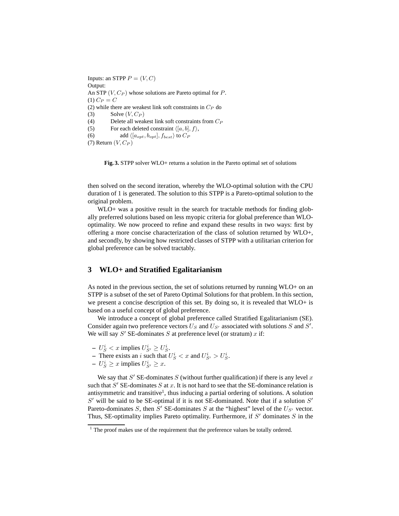Inputs: an STPP  $P = (V, C)$ Output: An STP  $(V, C_P)$  whose solutions are Pareto optimal for P.  $(1)$   $C_P = C$ (2) while there are weakest link soft constraints in  $C_P$  do (3) Solve  $(V, C_P)$ (4) Delete all weakest link soft constraints from  $C_P$ (5) For each deleted constraint  $\langle [a, b], f \rangle$ , (6) add  $\langle [a_{opt}, b_{opt}], f_{best} \rangle$  to  $C_P$ (7) Return  $(V, C_P)$ 

**Fig. 3.** STPP solver WLO+ returns a solution in the Pareto optimal set of solutions

then solved on the second iteration, whereby the WLO-optimal solution with the CPU duration of 1 is generated. The solution to this STPP is a Pareto-optimal solution to the original problem.

WLO+ was a positive result in the search for tractable methods for finding globally preferred solutions based on less myopic criteria for global preference than WLOoptimality. We now proceed to refine and expand these results in two ways: first by offering a more concise characterization of the class of solution returned by WLO+, and secondly, by showing how restricted classes of STPP with a utilitarian criterion for global preference can be solved tractably.

## **3 WLO+ and Stratified Egalitarianism**

As noted in the previous section, the set of solutions returned by running WLO+ on an STPP is a subset of the set of Pareto Optimal Solutions for that problem. In this section, we present a concise description of this set. By doing so, it is revealed that WLO+ is based on a useful concept of global preference.

We introduce a concept of global preference called Stratified Egalitarianism (SE). Consider again two preference vectors  $U_S$  and  $U_{S'}$  associated with solutions S and S'. We will say  $S'$  SE-dominates  $S$  at preference level (or stratum)  $x$  if:

- $U_S^i < x$  implies  $U_{S'}^i \geq U_S^i$ .
- There exists an *i* such that  $U_S^i < x$  and  $U_{S'}^i > U_S^i$ .
- $U_S^i \ge x$  implies  $U_{S'}^i \ge x$ .

We say that  $S'$  SE-dominates  $S$  (without further qualification) if there is any level  $x$ such that  $S'$  SE-dominates S at x. It is not hard to see that the SE-dominance relation is antisymmetric and transitive<sup>1</sup>, thus inducing a partial ordering of solutions. A solution  $S'$  will be said to be SE-optimal if it is not SE-dominated. Note that if a solution  $S'$ Pareto-dominates S, then  $S'$  SE-dominates S at the "highest" level of the  $U_{S'}$  vector. Thus, SE-optimality implies Pareto optimality. Furthermore, if  $S'$  dominates  $S$  in the

 $1$ . The proof makes use of the requirement that the preference values be totally ordered.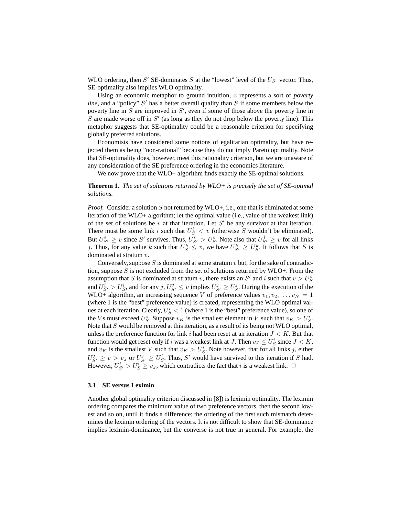WLO ordering, then  $S'$  SE-dominates  $S$  at the "lowest" level of the  $U_{S'}$  vector. Thus, SE-optimality also implies WLO optimality.

Using an economic metaphor to ground intuition, x represents a sort of *poverty* line, and a "policy" S' has a better overall quality than S if some members below the poverty line in  $S$  are improved in  $S'$ , even if some of those above the poverty line in S are made worse off in  $S'$  (as long as they do not drop below the poverty line). This metaphor suggests that SE-optimality could be a reasonable criterion for specifying globally preferred solutions.

Economists have considered some notions of egalitarian optimality, but have rejected them as being "non-rational" because they do not imply Pareto optimality. Note that SE-optimality does, however, meet this rationality criterion, but we are unaware of any consideration of the SE preference ordering in the economics literature.

We now prove that the WLO+ algorithm finds exactly the SE-optimal solutions.

**Theorem 1.** *The set of solutions returned by WLO+ is precisely the set of SE-optimal solutions.*

*Proof.* Consider a solution S not returned by WLO+, i.e., one that is eliminated at some iteration of the WLO+ algorithm; let the optimal value (i.e., value of the weakest link) of the set of solutions be v at that iteration. Let  $S'$  be any survivor at that iteration. There must be some link i such that  $U_S^i < v$  (otherwise S wouldn't be eliminated). But  $U_{S'}^i \ge v$  since S' survives. Thus,  $U_{S'}^i > U_S^i$ . Note also that  $U_{S'}^j \ge v$  for all links j. Thus, for any value k such that  $U_S^k \leq v$ , we have  $U_{S'}^k \geq U_S^k$ . It follows that S is dominated at stratum v.

Conversely, suppose S is dominated at some stratum  $v$  but, for the sake of contradiction, suppose  $S$  is not excluded from the set of solutions returned by WLO+. From the assumption that S is dominated at stratum v, there exists an S' and i such that  $v > U_S^i$ and  $U_{S'}^i > U_S^i$ , and for any  $j, U_{S'}^j \le v$  implies  $U_{S'}^j \ge U_S^j$ . During the execution of the WLO+ algorithm, an increasing sequence V of preference values  $v_1, v_2, \ldots, v_N = 1$ (where 1 is the "best" preference value) is created, representing the WLO optimal values at each iteration. Clearly,  $U_S^i < 1$  (where 1 is the "best" preference value), so one of the *V*s must exceed  $U_S^i$ . Suppose  $v_K$  is the smallest element in *V* such that  $v_K > U_S^i$ . Note that S would be removed at this iteration, as a result of its being not WLO optimal, unless the preference function for link i had been reset at an iteration  $J < K$ . But that function would get reset only if i was a weakest link at J. Then  $v_J \leq U_S^i$  since  $J < K$ , and  $v_K$  is the smallest V such that  $v_K > U_S^i$ . Note however, that for all links j, either  $U_{S'}^j \ge v > v_J$  or  $U_{S'}^j \ge U_S^i$ . Thus, S' would have survived to this iteration if S had. However,  $U_{S'}^i > U_S^i \ge v_J$ , which contradicts the fact that i is a weakest link.  $\Box$ 

#### **3.1 SE versus Leximin**

Another global optimality criterion discussed in [8]) is leximin optimality. The leximin ordering compares the minimum value of two preference vectors, then the second lowest and so on, until it finds a difference; the ordering of the first such mismatch determines the leximin ordering of the vectors. It is not difficult to show that SE-dominance implies leximin-dominance, but the converse is not true in general. For example, the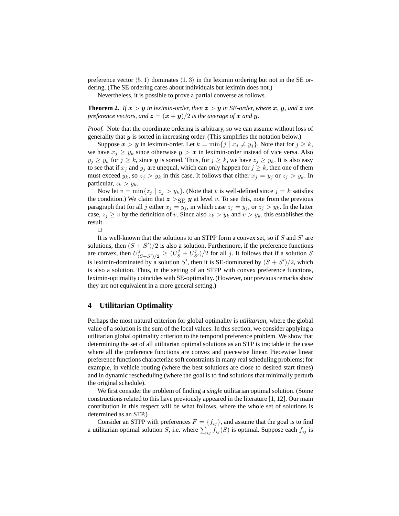preference vector  $\langle 5, 1 \rangle$  dominates  $\langle 1, 3 \rangle$  in the leximin ordering but not in the SE ordering. (The SE ordering cares about individuals but leximin does not.)

Nevertheless, it is possible to prove a partial converse as follows.

**Theorem 2.** If  $x > y$  in leximin-order, then  $z > y$  in SE-order, where x, y, and z are *preference vectors, and*  $\mathbf{z} = (\mathbf{x} + \mathbf{y})/2$  *is the average of*  $\mathbf{x}$  *and*  $\mathbf{y}$ *.* 

*Proof.* Note that the coordinate ordering is arbitrary, so we can assume without loss of generality that  $y$  is sorted in increasing order. (This simplifies the notation below.)

Suppose  $x > y$  in leximin-order. Let  $k = \min\{j \mid x_j \neq y_j\}$ . Note that for  $j \geq k$ , we have  $x_i \geq y_k$  since otherwise  $y > x$  in leximin-order instead of vice versa. Also  $y_j \ge y_k$  for  $j \ge k$ , since y is sorted. Thus, for  $j \ge k$ , we have  $z_j \ge y_k$ . It is also easy to see that if  $x_j$  and  $y_j$  are unequal, which can only happen for  $j \geq k$ , then one of them must exceed  $y_k$ , so  $z_j > y_k$  in this case. It follows that either  $x_j = y_j$  or  $z_j > y_k$ . In particular,  $z_k > y_k$ .

Now let  $v = \min\{z_i \mid z_i > y_k\}$ . (Note that v is well-defined since  $j = k$  satisfies the condition.) We claim that  $z >_{\text{SE}} y$  at level v. To see this, note from the previous paragraph that for all j either  $x_j = y_j$ , in which case  $z_j = y_j$ , or  $z_j > y_k$ . In the latter case,  $z_i \ge v$  by the definition of v. Since also  $z_k > y_k$  and  $v > y_k$ , this establishes the result.

 $\Box$ 

It is well-known that the solutions to an STPP form a convex set, so if  $S$  and  $S'$  are solutions, then  $(S + S')/2$  is also a solution. Furthermore, if the preference functions are convex, then  $U^j_{(S+S')/2} \ge (U^j_S + U^j_{S'})/2$  for all j. It follows that if a solution S is leximin-dominated by a solution S', then it is SE-dominated by  $(S + S')/2$ , which is also a solution. Thus, in the setting of an STPP with convex preference functions, leximin-optimality coincides with SE-optimality. (However, our previous remarks show they are not equivalent in a more general setting.)

### **4 Utilitarian Optimality**

Perhaps the most natural criterion for global optimality is *utilitarian*, where the global value of a solution is the sum of the local values. In this section, we consider applying a utilitarian global optimality criterion to the temporal preference problem. We show that determining the set of all utilitarian optimal solutions as an STP is tractable in the case where all the preference functions are convex and piecewise linear. Piecewise linear preference functions characterize soft constraints in many real scheduling problems; for example, in vehicle routing (where the best solutions are close to desired start times) and in dynamic rescheduling (where the goal is to find solutions that minimally perturb the original schedule).

We first consider the problem of finding a *single* utilitarian optimal solution. (Some constructions related to this have previously appeared in the literature [1, 12]. Our main contribution in this respect will be what follows, where the whole set of solutions is determined as an STP.)

Consider an STPP with preferences  $F = \{f_{ij}\}\$ , and assume that the goal is to find a utilitarian optimal solution S, i.e. where  $\sum_{ij} f_{ij}(S)$  is optimal. Suppose each  $f_{ij}$  is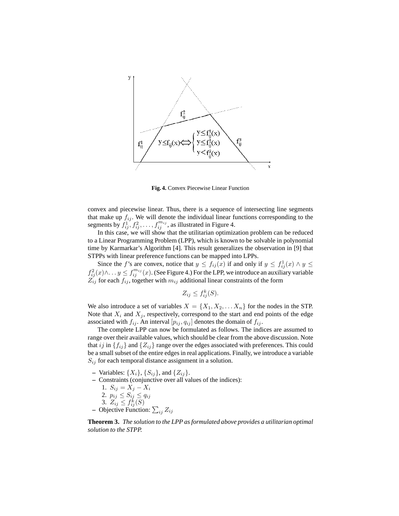

**Fig. 4.** Convex Piecewise Linear Function

convex and piecewise linear. Thus, there is a sequence of intersecting line segments that make up  $f_{ij}$ . We will denote the individual linear functions corresponding to the segments by  $f_{ij}^1, f_{ij}^2, \ldots, f_{ij}^{m_{ij}}$ , as illustrated in Figure 4.

In this case, we will show that the utilitarian optimization problem can be reduced to a Linear Programming Problem (LPP), which is known to be solvable in polynomial time by Karmarkar's Algorithm [4]. This result generalizes the observation in [9] that STPPs with linear preference functions can be mapped into LPPs.

Since the f's are convex, notice that  $y \leq f_{ij}(x)$  if and only if  $y \leq f_{ij}^1(x) \wedge y \leq y$  $f_{ij}^2(x) \wedge \ldots y \leq f_{ij}^{m_{ij}}(x)$ . (See Figure 4.) For the LPP, we introduce an auxiliary variable  $Z_{ij}$  for each  $f_{ij}$ , together with  $m_{ij}$  additional linear constraints of the form

$$
Z_{ij} \le f_{ij}^k(S).
$$

We also introduce a set of variables  $X = \{X_1, X_2, \ldots X_n\}$  for the nodes in the STP. Note that  $X_i$  and  $X_j$ , respectively, correspond to the start and end points of the edge associated with  $f_{ij}$ . An interval  $[p_{ij}, q_{ij}]$  denotes the domain of  $f_{ij}$ .

The complete LPP can now be formulated as follows. The indices are assumed to range over their available values, which should be clear from the above discussion. Note that ij in  $\{f_{ij}\}$  and  $\{Z_{ij}\}$  range over the edges associated with preferences. This could be a small subset of the entire edges in real applications. Finally, we introduce a variable  $S_{ij}$  for each temporal distance assignment in a solution.

- **–** Variables:  $\{X_i\}$ ,  $\{S_{ij}\}$ , and  $\{Z_{ij}\}$ .
- **–** Constraints (conjunctive over all values of the indices):
	- 1.  $S_{ij} = X_j X_i$
	- 2.  $p_{ij} \leq S_{ij} \leq q_{ij}$
	- 3.  $Z_{ij} \leq f_{ij}^k(S)$
- $-$  Objective Function:  $\sum_{ij} Z_{ij}$

**Theorem 3.** *The solution to the LPP as formulated above provides a utilitarian optimal solution to the STPP.*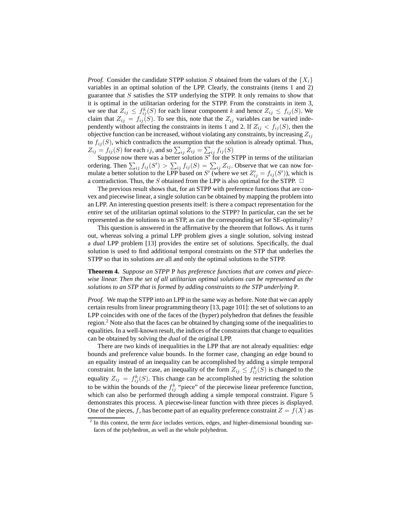*Proof.* Consider the candidate STPP solution S obtained from the values of the  $\{X_i\}$ variables in an optimal solution of the LPP. Clearly, the constraints (items 1 and 2) guarantee that  $S$  satisfies the STP underlying the STPP. It only remains to show that it is optimal in the utilitarian ordering for the STPP. From the constraints in item 3, we see that  $Z_{ij} \leq f_{ij}^k(S)$  for each linear component k and hence  $Z_{ij} \leq f_{ij}(S)$ . We claim that  $Z_{ij} = f_{ij}(S)$ . To see this, note that the  $Z_{ij}$  variables can be varied independently without affecting the constraints in items 1 and 2. If  $Z_{ii} < f_{ii}(S)$ , then the objective function can be increased, without violating any constraints, by increasing  $Z_{ij}$ to  $f_{ij}(S)$ , which contradicts the assumption that the solution is already optimal. Thus,  $Z_{ij} = f_{ij}(S)$  for each  $ij$ , and so  $\sum_{ij} Z_{ij} = \sum_{ij} f_{ij}(S)$ 

Suppose now there was a better solution  $\overline{S'}$  for the STPP in terms of the utilitarian ordering. Then  $\sum_{ij} f_{ij} (S') > \sum_{ij} f_{ij} (S) = \sum_{ij} Z_{ij}$ . Observe that we can now formulate a better solution to the LPP based on S' (where we set  $Z'_{ij} = f_{ij}(S')$ ), which is a contradiction. Thus, the S obtained from the LPP is also optimal for the STPP.  $\Box$ 

The previous result shows that, for an STPP with preference functions that are convex and piecewise linear, a single solution can be obtained by mapping the problem into an LPP. An interesting question presents itself: is there a compact representation for the *entire* set of the utilitarian optimal solutions to the STPP? In particular, can the set be represented as the solutions to an STP, as can the corresponding set for SE-optimality?

This question is answered in the affirmative by the theorem that follows. As it turns out, whereas solving a primal LPP problem gives a single solution, solving instead a *dual* LPP problem [13] provides the entire set of solutions. Specifically, the dual solution is used to find additional temporal constraints on the STP that underlies the STPP so that its solutions are all and only the optimal solutions to the STPP.

**Theorem 4.** *Suppose an STPP* P *has preference functions that are convex and piecewise linear. Then the set of all utilitarian optimal solutions can be represented as the solutions to an STP that is formed by adding constraints to the STP underlying* P*.*

*Proof.* We map the STPP into an LPP in the same way as before. Note that we can apply certain results from linear programming theory [13, page 101]: the set of solutions to an LPP coincides with one of the faces of the (hyper) polyhedron that defines the feasible region.<sup>2</sup> Note also that the faces can be obtained by changing some of the inequalities to equalities. In a well-known result, the indices of the constraints that change to equalities can be obtained by solving the *dual* of the original LPP.

There are two kinds of inequalities in the LPP that are not already equalities: edge bounds and preference value bounds. In the former case, changing an edge bound to an equality instead of an inequality can be accomplished by adding a simple temporal constraint. In the latter case, an inequality of the form  $Z_{ij} \leq f_{ij}^k(S)$  is changed to the equality  $Z_{ij} = f_{ij}^k(S)$ . This change can be accomplished by restricting the solution to be within the bounds of the  $f_{ij}^k$  "piece" of the piecewise linear preference function, which can also be performed through adding a simple temporal constraint. Figure 5 demonstrates this process. A piecewise-linear function with three pieces is displayed. One of the pieces, f, has become part of an equality preference constraint  $Z = f(X)$  as

<sup>&</sup>lt;sup>2</sup> In this context, the term *face* includes vertices, edges, and higher-dimensional bounding surfaces of the polyhedron, as well as the whole polyhedron.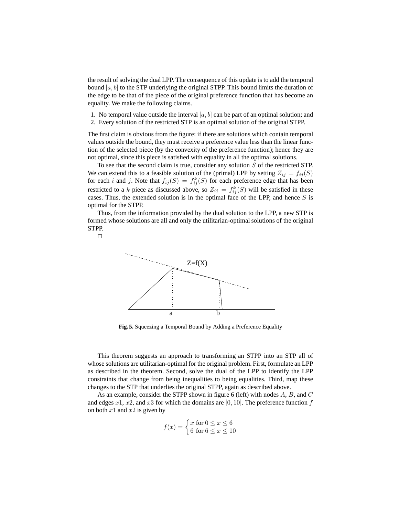the result of solving the dual LPP. The consequence of this update is to add the temporal bound  $[a, b]$  to the STP underlying the original STPP. This bound limits the duration of the edge to be that of the piece of the original preference function that has become an equality. We make the following claims.

- 1. No temporal value outside the interval  $[a, b]$  can be part of an optimal solution; and
- 2. Every solution of the restricted STP is an optimal solution of the original STPP.

The first claim is obvious from the figure: if there are solutions which contain temporal values outside the bound, they must receive a preference value less than the linear function of the selected piece (by the convexity of the preference function); hence they are not optimal, since this piece is satisfied with equality in all the optimal solutions.

To see that the second claim is true, consider any solution S of the restricted STP. We can extend this to a feasible solution of the (primal) LPP by setting  $Z_{ij} = f_{ij}(S)$ for each i and j. Note that  $f_{ij}(S) = f_{ij}^k(S)$  for each preference edge that has been restricted to a k piece as discussed above, so  $Z_{ij} = f_{ij}^k(S)$  will be satisfied in these cases. Thus, the extended solution is in the optimal face of the LPP, and hence  $S$  is optimal for the STPP.

Thus, from the information provided by the dual solution to the LPP, a new STP is formed whose solutions are all and only the utilitarian-optimal solutions of the original STPP.

 $\Box$ 



Fig. 5. Squeezing a Temporal Bound by Adding a Preference Equality

This theorem suggests an approach to transforming an STPP into an STP all of whose solutions are utilitarian-optimal for the original problem. First, formulate an LPP as described in the theorem. Second, solve the dual of the LPP to identify the LPP constraints that change from being inequalities to being equalities. Third, map these changes to the STP that underlies the original STPP, again as described above.

As an example, consider the STPP shown in figure 6 (left) with nodes A, B, and C and edges  $x_1$ ,  $x_2$ , and  $x_3$  for which the domains are [0, 10]. The preference function f on both  $x1$  and  $x2$  is given by

$$
f(x) = \begin{cases} x \text{ for } 0 \le x \le 6\\ 6 \text{ for } 6 \le x \le 10 \end{cases}
$$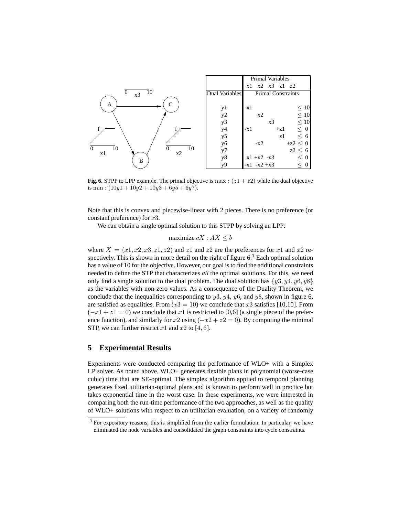

**Fig. 6.** STPP to LPP example. The primal objective is max:  $(z1 + z2)$  while the dual objective is min :  $(10y1 + 10y2 + 10y3 + 6y5 + 6y7)$ .

Note that this is convex and piecewise-linear with 2 pieces. There is no preference (or constant preference) for x3.

We can obtain a single optimal solution to this STPP by solving an LPP:

maximize  $cX : AX \leq b$ 

where  $X = (x1, x2, x3, z1, z2)$  and  $z1$  and  $z2$  are the preferences for  $x1$  and  $x2$  respectively. This is shown in more detail on the right of figure  $6<sup>3</sup>$  Each optimal solution has a value of 10 for the objective. However, our goal is to find the additional constraints needed to define the STP that characterizes *all* the optimal solutions. For this, we need only find a single solution to the dual problem. The dual solution has  $\{y3, y4, y6, y8\}$ as the variables with non-zero values. As a consequence of the Duality Theorem, we conclude that the inequalities corresponding to  $y3$ ,  $y4$ ,  $y6$ , and  $y8$ , shown in figure 6, are satisfied as equalities. From  $(x3 = 10)$  we conclude that x3 satisfies [10,10]. From  $(-x1 + z1 = 0)$  we conclude that x1 is restricted to [0,6] (a single piece of the preference function), and similarly for x2 using  $(-x^2 + z^2 = 0)$ . By computing the minimal STP, we can further restrict  $x1$  and  $x2$  to [4, 6].

# **5 Experimental Results**

Experiments were conducted comparing the performance of WLO+ with a Simplex LP solver. As noted above, WLO+ generates flexible plans in polynomial (worse-case cubic) time that are SE-optimal. The simplex algorithm applied to temporal planning generates fixed utilitarian-optimal plans and is known to perform well in practice but takes exponential time in the worst case. In these experiments, we were interested in comparing both the run-time performance of the two approaches, as well as the quality of WLO+ solutions with respect to an utilitarian evaluation, on a variety of randomly

 $3$  For expository reasons, this is simplified from the earlier formulation. In particular, we have eliminated the node variables and consolidated the graph constraints into cycle constraints.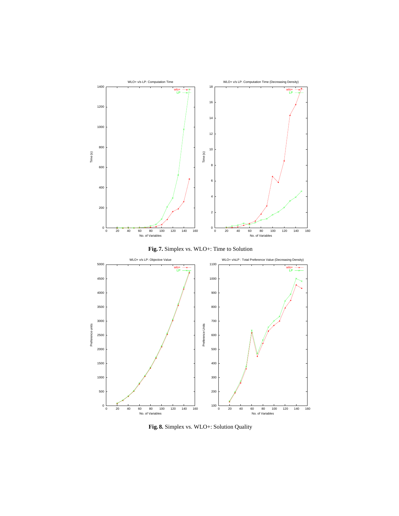

**Fig. 8.** Simplex vs. WLO+: Solution Quality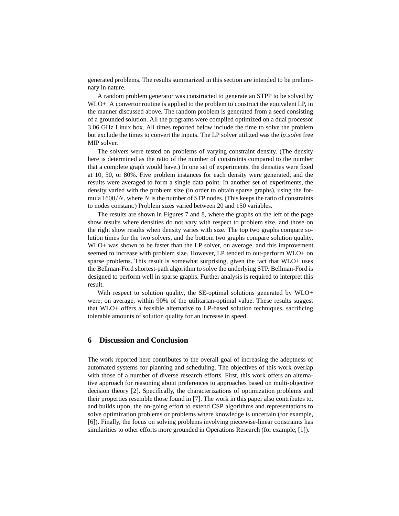generated problems. The results summarized in this section are intended to be preliminary in nature.

A random problem generator was constructed to generate an STPP to be solved by WLO+. A convertor routine is applied to the problem to construct the equivalent LP, in the manner discussed above. The random problem is generated from a seed consisting of a grounded solution. All the programs were compiled optimized on a dual processor 3.06 GHz Linux box. All times reported below include the time to solve the problem but exclude the times to convert the inputs. The LP solver utilized was the *lp solve* free MIP solver.

The solvers were tested on problems of varying constraint density. (The density here is determined as the ratio of the number of constraints compared to the number that a complete graph would have.) In one set of experiments, the densities were fixed at 10, 50, or 80%. Five problem instances for each density were generated, and the results were averaged to form a single data point. In another set of experiments, the density varied with the problem size (in order to obtain sparse graphs), using the formula  $1600/N$ , where N is the number of STP nodes. (This keeps the ratio of constraints to nodes constant.) Problem sizes varied between 20 and 150 variables.

The results are shown in Figures 7 and 8, where the graphs on the left of the page show results where densities do not vary with respect to problem size, and those on the right show results when density varies with size. The top two graphs compare solution times for the two solvers, and the bottom two graphs compare solution quality. WLO+ was shown to be faster than the LP solver, on average, and this improvement seemed to increase with problem size. However, LP tended to out-perform WLO+ on sparse problems. This result is somewhat surprising, given the fact that WLO+ uses the Bellman-Ford shortest-path algorithm to solve the underlying STP. Bellman-Ford is designed to perform well in sparse graphs. Further analysis is required to interpret this result.

With respect to solution quality, the SE-optimal solutions generated by WLO+ were, on average, within 90% of the utilitarian-optimal value. These results suggest that WLO+ offers a feasible alternative to LP-based solution techniques, sacrificing tolerable amounts of solution quality for an increase in speed.

## **6 Discussion and Conclusion**

The work reported here contributes to the overall goal of increasing the adeptness of automated systems for planning and scheduling. The objectives of this work overlap with those of a number of diverse research efforts. First, this work offers an alternative approach for reasoning about preferences to approaches based on multi-objective decision theory [2]. Specifically, the characterizations of optimization problems and their properties resemble those found in [7]. The work in this paper also contributes to, and builds upon, the on-going effort to extend CSP algorithms and representations to solve optimization problems or problems where knowledge is uncertain (for example, [6]). Finally, the focus on solving problems involving piecewise-linear constraints has similarities to other efforts more grounded in Operations Research (for example, [1]).